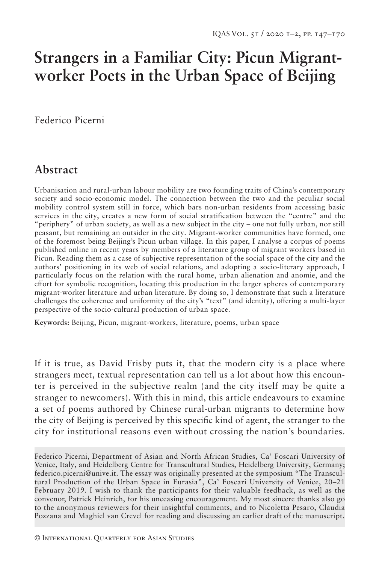# **Strangers in a Familiar City: Picun Migrantworker Poets in the Urban Space of Beijing**

Federico Picerni

## **Abstract**

Urbanisation and rural-urban labour mobility are two founding traits of China's contemporary society and socio-economic model. The connection between the two and the peculiar social mobility control system still in force, which bars non-urban residents from accessing basic services in the city, creates a new form of social stratification between the "centre" and the "periphery" of urban society, as well as a new subject in the city – one not fully urban, nor still peasant, but remaining an outsider in the city. Migrant-worker communities have formed, one of the foremost being Beijing's Picun urban village. In this paper, I analyse a corpus of poems published online in recent years by members of a literature group of migrant workers based in Picun. Reading them as a case of subjective representation of the social space of the city and the authors' positioning in its web of social relations, and adopting a socio-literary approach, I particularly focus on the relation with the rural home, urban alienation and anomie, and the effort for symbolic recognition, locating this production in the larger spheres of contemporary migrant-worker literature and urban literature. By doing so, I demonstrate that such a literature challenges the coherence and uniformity of the city's "text" (and identity), offering a multi-layer perspective of the socio-cultural production of urban space.

**Keywords:** Beijing, Picun, migrant-workers, literature, poems, urban space

If it is true, as David Frisby puts it, that the modern city is a place where strangers meet, textual representation can tell us a lot about how this encounter is perceived in the subjective realm (and the city itself may be quite a stranger to newcomers). With this in mind, this article endeavours to examine a set of poems authored by Chinese rural-urban migrants to determine how the city of Beijing is perceived by this specific kind of agent, the stranger to the city for institutional reasons even without crossing the nation's boundaries.

Federico Picerni, Department of Asian and North African Studies, Ca' Foscari University of Venice, Italy, and Heidelberg Centre for Transcultural Studies, Heidelberg University, Germany; federico.picerni@unive.it. The essay was originally presented at the symposium "The Transcultural Production of the Urban Space in Eurasia", Ca' Foscari University of Venice, 20–21 February 2019. I wish to thank the participants for their valuable feedback, as well as the convenor, Patrick Heinrich, for his unceasing encouragement. My most sincere thanks also go to the anonymous reviewers for their insightful comments, and to Nicoletta Pesaro, Claudia Pozzana and Maghiel van Crevel for reading and discussing an earlier draft of the manuscript.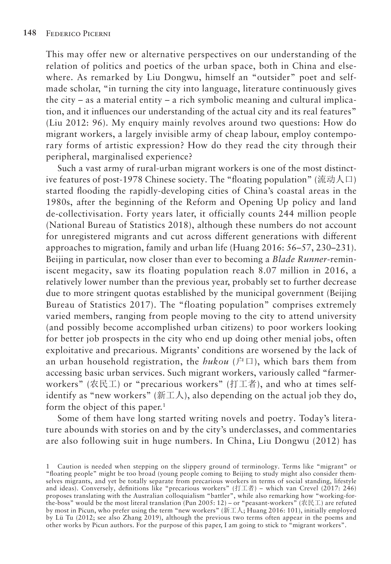This may offer new or alternative perspectives on our understanding of the relation of politics and poetics of the urban space, both in China and elsewhere. As remarked by Liu Dongwu, himself an "outsider" poet and selfmade scholar, "in turning the city into language, literature continuously gives the city – as a material entity – a rich symbolic meaning and cultural implication, and it influences our understanding of the actual city and its real features" (Liu 2012: 96). My enquiry mainly revolves around two questions: How do migrant workers, a largely invisible army of cheap labour, employ contemporary forms of artistic expression? How do they read the city through their peripheral, marginalised experience?

Such a vast army of rural-urban migrant workers is one of the most distinctive features of post-1978 Chinese society. The "floating population" (流动人口) started flooding the rapidly-developing cities of China's coastal areas in the 1980s, after the beginning of the Reform and Opening Up policy and land de-collectivisation. Forty years later, it officially counts 244 million people (National Bureau of Statistics 2018), although these numbers do not account for unregistered migrants and cut across different generations with different approaches to migration, family and urban life (Huang 2016: 56–57, 230–231). Beijing in particular, now closer than ever to becoming a *Blade Runner*-reminiscent megacity, saw its floating population reach 8.07 million in 2016, a relatively lower number than the previous year, probably set to further decrease due to more stringent quotas established by the municipal government (Beijing Bureau of Statistics 2017). The "floating population" comprises extremely varied members, ranging from people moving to the city to attend university (and possibly become accomplished urban citizens) to poor workers looking for better job prospects in the city who end up doing other menial jobs, often exploitative and precarious. Migrants' conditions are worsened by the lack of an urban household registration, the  $hukou$  ( $\angle$  $\Box$ ), which bars them from accessing basic urban services. Such migrant workers, variously called "farmerworkers" (农民工) or "precarious workers" (打工者), and who at times selfidentify as "new workers" (新工人), also depending on the actual job they do, form the object of this paper.<sup>1</sup>

Some of them have long started writing novels and poetry. Today's literature abounds with stories on and by the city's underclasses, and commentaries are also following suit in huge numbers. In China, Liu Dongwu (2012) has

<sup>1</sup> Caution is needed when stepping on the slippery ground of terminology. Terms like "migrant" or "floating people" might be too broad (young people coming to Beijing to study might also consider themselves migrants, and yet be totally separate from precarious workers in terms of social standing, lifestyle and ideas). Conversely, definitions like "precarious workers" (打工者) – which van Crevel (2017: 246) proposes translating with the Australian colloquialism "battler", while also remarking how "working-forthe-boss" would be the most literal translation (Pun 2005: 12) – or "peasant-workers" (农民工) are refuted by most in Picun, who prefer using the term "new workers" (新工人; Huang 2016: 101), initially employed by Lü Tu (2012; see also Zhang 2019), although the previous two terms often appear in the poems and other works by Picun authors. For the purpose of this paper, I am going to stick to "migrant workers".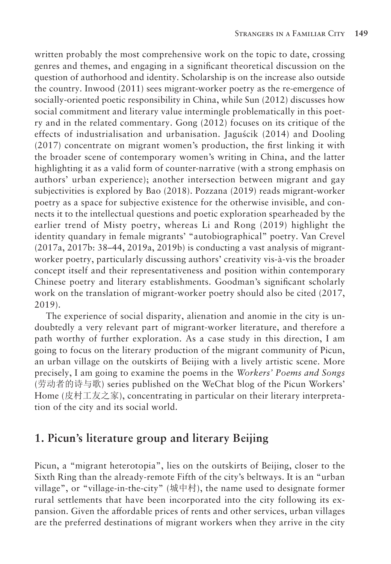written probably the most comprehensive work on the topic to date, crossing genres and themes, and engaging in a significant theoretical discussion on the question of authorhood and identity. Scholarship is on the increase also outside the country. Inwood (2011) sees migrant-worker poetry as the re-emergence of socially-oriented poetic responsibility in China, while Sun (2012) discusses how social commitment and literary value intermingle problematically in this poetry and in the related commentary. Gong (2012) focuses on its critique of the effects of industrialisation and urbanisation. Jaguścik (2014) and Dooling (2017) concentrate on migrant women's production, the first linking it with the broader scene of contemporary women's writing in China, and the latter highlighting it as a valid form of counter-narrative (with a strong emphasis on authors' urban experience); another intersection between migrant and gay subjectivities is explored by Bao (2018). Pozzana (2019) reads migrant-worker poetry as a space for subjective existence for the otherwise invisible, and connects it to the intellectual questions and poetic exploration spearheaded by the earlier trend of Misty poetry, whereas Li and Rong (2019) highlight the identity quandary in female migrants' "autobiographical" poetry. Van Crevel (2017a, 2017b: 38–44, 2019a, 2019b) is conducting a vast analysis of migrantworker poetry, particularly discussing authors' creativity vis-à-vis the broader concept itself and their representativeness and position within contemporary Chinese poetry and literary establishments. Goodman's significant scholarly work on the translation of migrant-worker poetry should also be cited (2017, 2019).

The experience of social disparity, alienation and anomie in the city is undoubtedly a very relevant part of migrant-worker literature, and therefore a path worthy of further exploration. As a case study in this direction, I am going to focus on the literary production of the migrant community of Picun, an urban village on the outskirts of Beijing with a lively artistic scene. More precisely, I am going to examine the poems in the *Workers' Poems and Songs*  (劳动者的诗与歌) series published on the WeChat blog of the Picun Workers' Home (皮村工友之家), concentrating in particular on their literary interpretation of the city and its social world.

#### **1. Picun's literature group and literary Beijing**

Picun, a "migrant heterotopia", lies on the outskirts of Beijing, closer to the Sixth Ring than the already-remote Fifth of the city's beltways. It is an "urban village", or "village-in-the-city" (城中村), the name used to designate former rural settlements that have been incorporated into the city following its expansion. Given the affordable prices of rents and other services, urban villages are the preferred destinations of migrant workers when they arrive in the city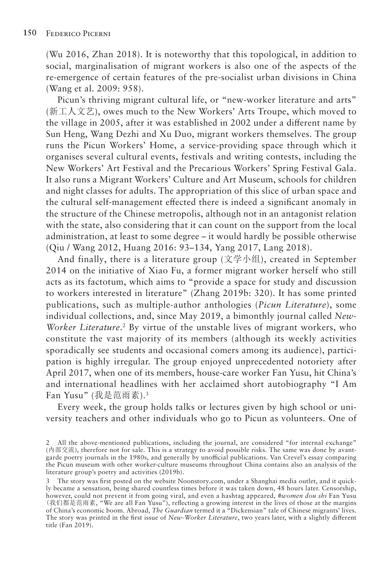(Wu 2016, Zhan 2018). It is noteworthy that this topological, in addition to social, marginalisation of migrant workers is also one of the aspects of the re-emergence of certain features of the pre-socialist urban divisions in China (Wang et al. 2009: 958).

Picun's thriving migrant cultural life, or "new-worker literature and arts" (新工人文艺), owes much to the New Workers' Arts Troupe, which moved to the village in 2005, after it was established in 2002 under a different name by Sun Heng, Wang Dezhi and Xu Duo, migrant workers themselves. The group runs the Picun Workers' Home, a service-providing space through which it organises several cultural events, festivals and writing contests, including the New Workers' Art Festival and the Precarious Workers' Spring Festival Gala. It also runs a Migrant Workers' Culture and Art Museum, schools for children and night classes for adults. The appropriation of this slice of urban space and the cultural self-management effected there is indeed a significant anomaly in the structure of the Chinese metropolis, although not in an antagonist relation with the state, also considering that it can count on the support from the local administration, at least to some degree – it would hardly be possible otherwise (Qiu / Wang 2012, Huang 2016: 93–134, Yang 2017, Lang 2018).

And finally, there is a literature group (文学小组), created in September 2014 on the initiative of Xiao Fu, a former migrant worker herself who still acts as its factotum, which aims to "provide a space for study and discussion to workers interested in literature" (Zhang 2019b: 320). It has some printed publications, such as multiple-author anthologies (*Picun Literature*), some individual collections, and, since May 2019, a bimonthly journal called *New-Worker Literature*. 2 By virtue of the unstable lives of migrant workers, who constitute the vast majority of its members (although its weekly activities sporadically see students and occasional comers among its audience), participation is highly irregular. The group enjoyed unprecedented notoriety after April 2017, when one of its members, house-care worker Fan Yusu, hit China's and international headlines with her acclaimed short autobiography "I Am Fan Yusu" (我是范雨素).3

Every week, the group holds talks or lectures given by high school or university teachers and other individuals who go to Picun as volunteers. One of

<sup>2</sup> All the above-mentioned publications, including the journal, are considered "for internal exchange" (内部交流), therefore not for sale. This is a strategy to avoid possible risks. The same was done by avantgarde poetry journals in the 1980s, and generally by unofficial publications. Van Crevel's essay comparing the Picun museum with other worker-culture museums throughout China contains also an analysis of the literature group's poetry and activities (2019b).

<sup>3</sup> The story was first posted on the website Noonstory.com, under a Shanghai media outlet, and it quickly became a sensation, being shared countless times before it was taken down, 48 hours later. Censorship, however, could not prevent it from going viral, and even a hashtag appeared, *#women dou shi* Fan Yusu (我们都是范雨素, "We are all Fan Yusu"), reflecting a growing interest in the lives of those at the margins of China's economic boom. Abroad, *The Guardian* termed it a "Dickensian" tale of Chinese migrants' lives. The story was printed in the first issue of *New-Worker Literature*, two years later, with a slightly different title (Fan 2019).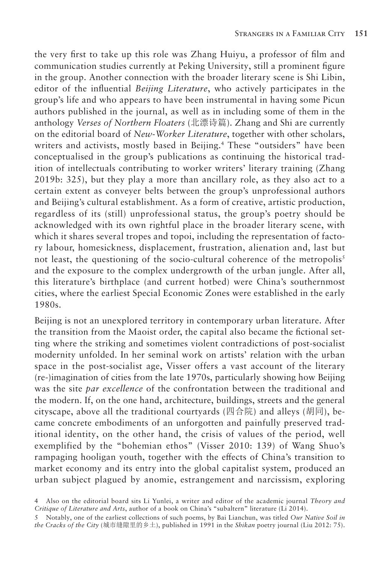the very first to take up this role was Zhang Huiyu, a professor of film and communication studies currently at Peking University, still a prominent figure in the group. Another connection with the broader literary scene is Shi Libin, editor of the influential *Beijing Literature*, who actively participates in the group's life and who appears to have been instrumental in having some Picun authors published in the journal, as well as in including some of them in the anthology *Verses of Northern Floaters* (北漂诗篇). Zhang and Shi are currently on the editorial board of *New-Worker Literature*, together with other scholars, writers and activists, mostly based in Beijing.<sup>4</sup> These "outsiders" have been conceptualised in the group's publications as continuing the historical tradition of intellectuals contributing to worker writers' literary training (Zhang 2019b: 325), but they play a more than ancillary role, as they also act to a certain extent as conveyer belts between the group's unprofessional authors and Beijing's cultural establishment. As a form of creative, artistic production, regardless of its (still) unprofessional status, the group's poetry should be acknowledged with its own rightful place in the broader literary scene, with which it shares several tropes and topoi, including the representation of factory labour, homesickness, displacement, frustration, alienation and, last but not least, the questioning of the socio-cultural coherence of the metropolis<sup>5</sup> and the exposure to the complex undergrowth of the urban jungle. After all, this literature's birthplace (and current hotbed) were China's southernmost cities, where the earliest Special Economic Zones were established in the early 1980s.

Beijing is not an unexplored territory in contemporary urban literature. After the transition from the Maoist order, the capital also became the fictional setting where the striking and sometimes violent contradictions of post-socialist modernity unfolded. In her seminal work on artists' relation with the urban space in the post-socialist age, Visser offers a vast account of the literary (re-)imagination of cities from the late 1970s, particularly showing how Beijing was the site *par excellence* of the confrontation between the traditional and the modern. If, on the one hand, architecture, buildings, streets and the general cityscape, above all the traditional courtyards (四合院) and alleys (胡同), became concrete embodiments of an unforgotten and painfully preserved traditional identity, on the other hand, the crisis of values of the period, well exemplified by the "bohemian ethos" (Visser 2010: 139) of Wang Shuo's rampaging hooligan youth, together with the effects of China's transition to market economy and its entry into the global capitalist system, produced an urban subject plagued by anomie, estrangement and narcissism, exploring

<sup>4</sup> Also on the editorial board sits Li Yunlei, a writer and editor of the academic journal *Theory and Critique of Literature and Arts*, author of a book on China's "subaltern" literature (Li 2014).

<sup>5</sup> Notably, one of the earliest collections of such poems, by Bai Lianchun, was titled *Our Native Soil in the Cracks of the City* (城市缝隙里的乡土), published in 1991 in the *Shikan* poetry journal (Liu 2012: 75).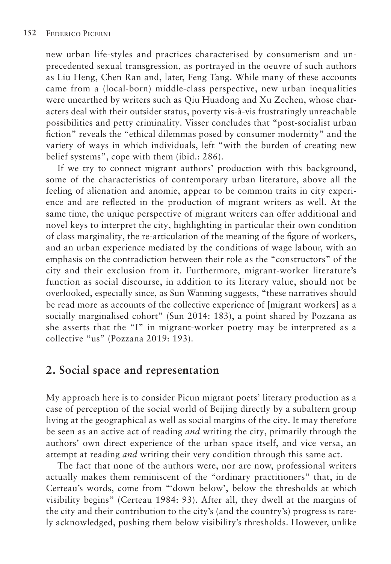new urban life-styles and practices characterised by consumerism and unprecedented sexual transgression, as portrayed in the oeuvre of such authors as Liu Heng, Chen Ran and, later, Feng Tang. While many of these accounts came from a (local-born) middle-class perspective, new urban inequalities were unearthed by writers such as Qiu Huadong and Xu Zechen, whose characters deal with their outsider status, poverty vis-à-vis frustratingly unreachable possibilities and petty criminality. Visser concludes that "post-socialist urban fiction" reveals the "ethical dilemmas posed by consumer modernity" and the variety of ways in which individuals, left "with the burden of creating new belief systems", cope with them (ibid.: 286).

If we try to connect migrant authors' production with this background, some of the characteristics of contemporary urban literature, above all the feeling of alienation and anomie, appear to be common traits in city experience and are reflected in the production of migrant writers as well. At the same time, the unique perspective of migrant writers can offer additional and novel keys to interpret the city, highlighting in particular their own condition of class marginality, the re-articulation of the meaning of the figure of workers, and an urban experience mediated by the conditions of wage labour, with an emphasis on the contradiction between their role as the "constructors" of the city and their exclusion from it. Furthermore, migrant-worker literature's function as social discourse, in addition to its literary value, should not be overlooked, especially since, as Sun Wanning suggests, "these narratives should be read more as accounts of the collective experience of [migrant workers] as a socially marginalised cohort" (Sun 2014: 183), a point shared by Pozzana as she asserts that the "I" in migrant-worker poetry may be interpreted as a collective "us" (Pozzana 2019: 193).

## **2. Social space and representation**

My approach here is to consider Picun migrant poets' literary production as a case of perception of the social world of Beijing directly by a subaltern group living at the geographical as well as social margins of the city. It may therefore be seen as an active act of reading *and* writing the city, primarily through the authors' own direct experience of the urban space itself, and vice versa, an attempt at reading *and* writing their very condition through this same act.

The fact that none of the authors were, nor are now, professional writers actually makes them reminiscent of the "ordinary practitioners" that, in de Certeau's words, come from "'down below', below the thresholds at which visibility begins" (Certeau 1984: 93). After all, they dwell at the margins of the city and their contribution to the city's (and the country's) progress is rarely acknowledged, pushing them below visibility's thresholds. However, unlike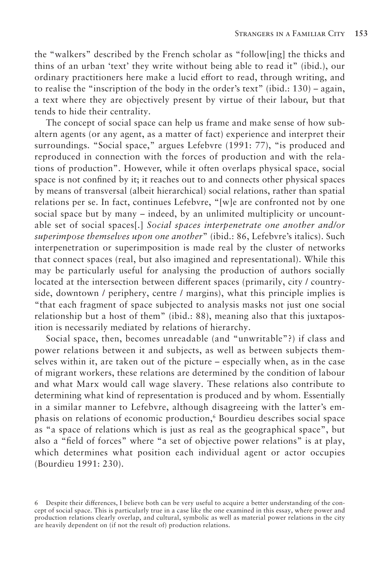the "walkers" described by the French scholar as "follow[ing] the thicks and thins of an urban 'text' they write without being able to read it" (ibid.), our ordinary practitioners here make a lucid effort to read, through writing, and to realise the "inscription of the body in the order's text" (ibid.:  $130$ ) – again, a text where they are objectively present by virtue of their labour, but that tends to hide their centrality.

The concept of social space can help us frame and make sense of how subaltern agents (or any agent, as a matter of fact) experience and interpret their surroundings. "Social space," argues Lefebvre (1991: 77), "is produced and reproduced in connection with the forces of production and with the relations of production". However, while it often overlaps physical space, social space is not confined by it; it reaches out to and connects other physical spaces by means of transversal (albeit hierarchical) social relations, rather than spatial relations per se. In fact, continues Lefebvre, "[w]e are confronted not by one social space but by many – indeed, by an unlimited multiplicity or uncountable set of social spaces[.] *Social spaces interpenetrate one another and/or superimpose themselves upon one another*" (ibid.: 86, Lefebvre's italics). Such interpenetration or superimposition is made real by the cluster of networks that connect spaces (real, but also imagined and representational). While this may be particularly useful for analysing the production of authors socially located at the intersection between different spaces (primarily, city / countryside, downtown / periphery, centre / margins), what this principle implies is "that each fragment of space subjected to analysis masks not just one social relationship but a host of them" (ibid.: 88), meaning also that this juxtaposition is necessarily mediated by relations of hierarchy.

Social space, then, becomes unreadable (and "unwritable"?) if class and power relations between it and subjects, as well as between subjects themselves within it, are taken out of the picture – especially when, as in the case of migrant workers, these relations are determined by the condition of labour and what Marx would call wage slavery. These relations also contribute to determining what kind of representation is produced and by whom. Essentially in a similar manner to Lefebvre, although disagreeing with the latter's emphasis on relations of economic production,<sup>6</sup> Bourdieu describes social space as "a space of relations which is just as real as the geographical space", but also a "field of forces" where "a set of objective power relations" is at play, which determines what position each individual agent or actor occupies (Bourdieu 1991: 230).

<sup>6</sup> Despite their differences, I believe both can be very useful to acquire a better understanding of the concept of social space. This is particularly true in a case like the one examined in this essay, where power and production relations clearly overlap, and cultural, symbolic as well as material power relations in the city are heavily dependent on (if not the result of) production relations.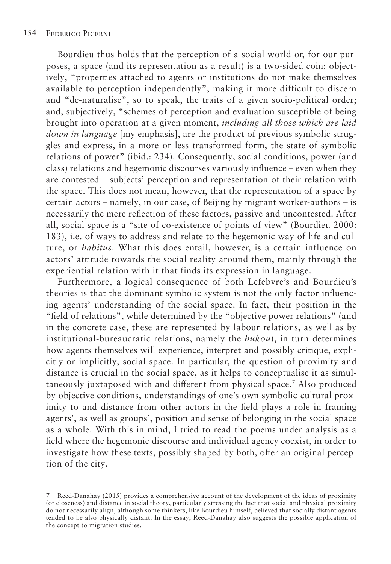Bourdieu thus holds that the perception of a social world or, for our purposes, a space (and its representation as a result) is a two-sided coin: objectively, "properties attached to agents or institutions do not make themselves available to perception independently", making it more difficult to discern and "de-naturalise", so to speak, the traits of a given socio-political order; and, subjectively, "schemes of perception and evaluation susceptible of being brought into operation at a given moment, *including all those which are laid down in language* [my emphasis], are the product of previous symbolic struggles and express, in a more or less transformed form, the state of symbolic relations of power" (ibid.: 234). Consequently, social conditions, power (and class) relations and hegemonic discourses variously influence – even when they are contested – subjects' perception and representation of their relation with the space. This does not mean, however, that the representation of a space by certain actors – namely, in our case, of Beijing by migrant worker-authors – is necessarily the mere reflection of these factors, passive and uncontested. After all, social space is a "site of co-existence of points of view" (Bourdieu 2000: 183), i.e. of ways to address and relate to the hegemonic way of life and culture, or *habitus*. What this does entail, however, is a certain influence on actors' attitude towards the social reality around them, mainly through the experiential relation with it that finds its expression in language.

Furthermore, a logical consequence of both Lefebvre's and Bourdieu's theories is that the dominant symbolic system is not the only factor influencing agents' understanding of the social space. In fact, their position in the "field of relations", while determined by the "objective power relations" (and in the concrete case, these are represented by labour relations, as well as by institutional-bureaucratic relations, namely the *hukou*), in turn determines how agents themselves will experience, interpret and possibly critique, explicitly or implicitly, social space. In particular, the question of proximity and distance is crucial in the social space, as it helps to conceptualise it as simultaneously juxtaposed with and different from physical space.7 Also produced by objective conditions, understandings of one's own symbolic-cultural proximity to and distance from other actors in the field plays a role in framing agents', as well as groups', position and sense of belonging in the social space as a whole. With this in mind, I tried to read the poems under analysis as a field where the hegemonic discourse and individual agency coexist, in order to investigate how these texts, possibly shaped by both, offer an original perception of the city.

<sup>7</sup> Reed-Danahay (2015) provides a comprehensive account of the development of the ideas of proximity (or closeness) and distance in social theory, particularly stressing the fact that social and physical proximity do not necessarily align, although some thinkers, like Bourdieu himself, believed that socially distant agents tended to be also physically distant. In the essay, Reed-Danahay also suggests the possible application of the concept to migration studies.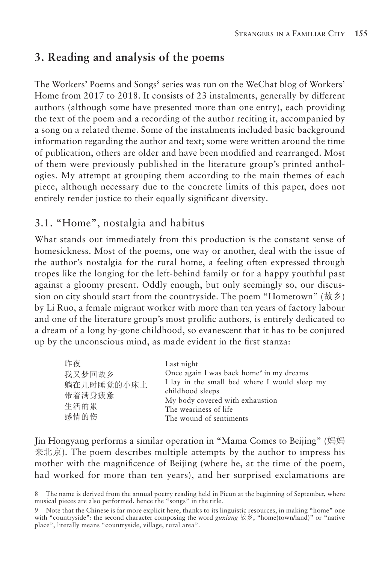# **3. Reading and analysis of the poems**

The Workers' Poems and Songs<sup>8</sup> series was run on the WeChat blog of Workers' Home from 2017 to 2018. It consists of 23 instalments, generally by different authors (although some have presented more than one entry), each providing the text of the poem and a recording of the author reciting it, accompanied by a song on a related theme. Some of the instalments included basic background information regarding the author and text; some were written around the time of publication, others are older and have been modified and rearranged. Most of them were previously published in the literature group's printed anthologies. My attempt at grouping them according to the main themes of each piece, although necessary due to the concrete limits of this paper, does not entirely render justice to their equally significant diversity.

## 3.1. "Home", nostalgia and habitus

What stands out immediately from this production is the constant sense of homesickness. Most of the poems, one way or another, deal with the issue of the author's nostalgia for the rural home, a feeling often expressed through tropes like the longing for the left-behind family or for a happy youthful past against a gloomy present. Oddly enough, but only seemingly so, our discussion on city should start from the countryside. The poem "Hometown" (故乡) by Li Ruo, a female migrant worker with more than ten years of factory labour and one of the literature group's most prolific authors, is entirely dedicated to a dream of a long by-gone childhood, so evanescent that it has to be conjured up by the unconscious mind, as made evident in the first stanza:

| 昨夜         | Last night                                           |
|------------|------------------------------------------------------|
| 我又梦回故乡     | Once again I was back home <sup>9</sup> in my dreams |
| 躺在儿时睡觉的小床上 | I lay in the small bed where I would sleep my        |
| 带着满身疲惫     | childhood sleeps                                     |
| 生活的累       | My body covered with exhaustion                      |
|            | The weariness of life                                |
| 感情的伤       | The wound of sentiments                              |

Jin Hongyang performs a similar operation in "Mama Comes to Beijing" (妈妈 来北京). The poem describes multiple attempts by the author to impress his mother with the magnificence of Beijing (where he, at the time of the poem, had worked for more than ten years), and her surprised exclamations are

The name is derived from the annual poetry reading held in Picun at the beginning of September, where musical pieces are also performed, hence the "songs" in the title.

Note that the Chinese is far more explicit here, thanks to its linguistic resources, in making "home" one with "countryside": the second character composing the word *guxiang* 故乡, "home(town/land)" or "native place", literally means "countryside, village, rural area".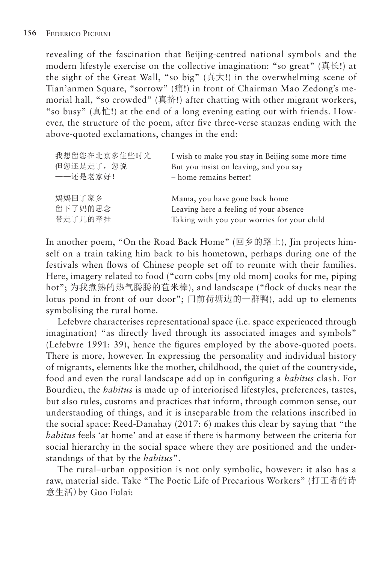revealing of the fascination that Beijing-centred national symbols and the modern lifestyle exercise on the collective imagination: "so great" (真长!) at the sight of the Great Wall, "so big" (真大!) in the overwhelming scene of Tian'anmen Square, "sorrow" (痛!) in front of Chairman Mao Zedong's memorial hall, "so crowded" (真挤!) after chatting with other migrant workers, "so busy" (真忙!) at the end of a long evening eating out with friends. However, the structure of the poem, after five three-verse stanzas ending with the above-quoted exclamations, changes in the end:

| 我想留您在北京多住些时光 | I wish to make you stay in Beijing some more time |
|--------------|---------------------------------------------------|
| 但您还是走了,您说    | But you insist on leaving, and you say            |
| ——还是老家好!     | - home remains better!                            |
| 妈妈回了家乡       | Mama, you have gone back home                     |
| 留下了妈的思念      | Leaving here a feeling of your absence            |
| 带走了儿的牵挂      | Taking with you your worries for your child       |

In another poem, "On the Road Back Home" (回乡的路上), Jin projects himself on a train taking him back to his hometown, perhaps during one of the festivals when flows of Chinese people set off to reunite with their families. Here, imagery related to food ("corn cobs [my old mom] cooks for me, piping hot"; 为我煮熟的热气腾腾的苞米棒), and landscape ("flock of ducks near the lotus pond in front of our door"; 门前荷塘边的一群鸭), add up to elements symbolising the rural home.

Lefebvre characterises representational space (i.e. space experienced through imagination) "as directly lived through its associated images and symbols" (Lefebvre 1991: 39), hence the figures employed by the above-quoted poets. There is more, however. In expressing the personality and individual history of migrants, elements like the mother, childhood, the quiet of the countryside, food and even the rural landscape add up in configuring a *habitus* clash. For Bourdieu, the *habitus* is made up of interiorised lifestyles, preferences, tastes, but also rules, customs and practices that inform, through common sense, our understanding of things, and it is inseparable from the relations inscribed in the social space: Reed-Danahay (2017: 6) makes this clear by saying that "the *habitus* feels 'at home' and at ease if there is harmony between the criteria for social hierarchy in the social space where they are positioned and the understandings of that by the *habitus*".

The rural–urban opposition is not only symbolic, however: it also has a raw, material side. Take "The Poetic Life of Precarious Workers" (打工者的诗 意生活)by Guo Fulai: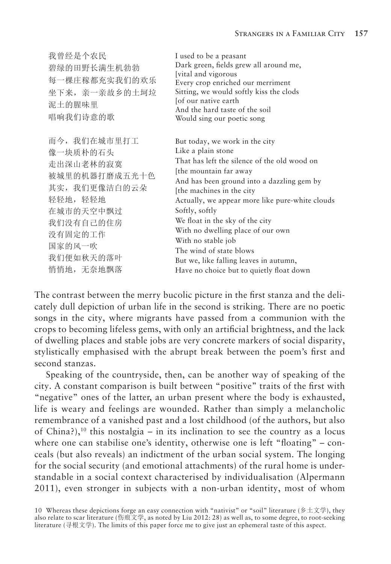| 我曾经是个农民<br>碧绿的田野长满生机勃勃<br>每一棵庄稼都充实我们的欢乐<br>坐下来, 亲一亲故乡的土坷垃<br>泥土的腥味里<br>唱响我们诗意的歌                                                                              | I used to be a peasant<br>Dark green, fields grew all around me,<br>[vital and vigorous<br>Every crop enriched our merriment<br>Sitting, we would softly kiss the clods<br>[of our native earth<br>And the hard taste of the soil<br>Would sing our poetic song                                                                                                                                                                                                                                 |
|--------------------------------------------------------------------------------------------------------------------------------------------------------------|-------------------------------------------------------------------------------------------------------------------------------------------------------------------------------------------------------------------------------------------------------------------------------------------------------------------------------------------------------------------------------------------------------------------------------------------------------------------------------------------------|
| 而今, 我们在城市里打工<br>像一块质朴的石头<br>走出深山老林的寂寞<br>被城里的机器打磨成五光十色<br>其实, 我们更像洁白的云朵<br>轻轻地,轻轻地<br>在城市的天空中飘过<br>我们没有自己的住房<br>没有固定的工作<br>国家的风一吹<br>我们便如秋天的落叶<br>悄悄地, 无奈地飘落 | But today, we work in the city<br>Like a plain stone<br>That has left the silence of the old wood on<br>[the mountain far away]<br>And has been ground into a dazzling gem by<br>[the machines in the city]<br>Actually, we appear more like pure-white clouds<br>Softly, softly<br>We float in the sky of the city<br>With no dwelling place of our own<br>With no stable job<br>The wind of state blows<br>But we, like falling leaves in autumn,<br>Have no choice but to quietly float down |

The contrast between the merry bucolic picture in the first stanza and the delicately dull depiction of urban life in the second is striking. There are no poetic songs in the city, where migrants have passed from a communion with the crops to becoming lifeless gems, with only an artificial brightness, and the lack of dwelling places and stable jobs are very concrete markers of social disparity, stylistically emphasised with the abrupt break between the poem's first and second stanzas.

Speaking of the countryside, then, can be another way of speaking of the city. A constant comparison is built between "positive" traits of the first with "negative" ones of the latter, an urban present where the body is exhausted, life is weary and feelings are wounded. Rather than simply a melancholic remembrance of a vanished past and a lost childhood (of the authors, but also of China?),<sup>10</sup> this nostalgia – in its inclination to see the country as a locus where one can stabilise one's identity, otherwise one is left "floating" – conceals (but also reveals) an indictment of the urban social system. The longing for the social security (and emotional attachments) of the rural home is understandable in a social context characterised by individualisation (Alpermann 2011), even stronger in subjects with a non-urban identity, most of whom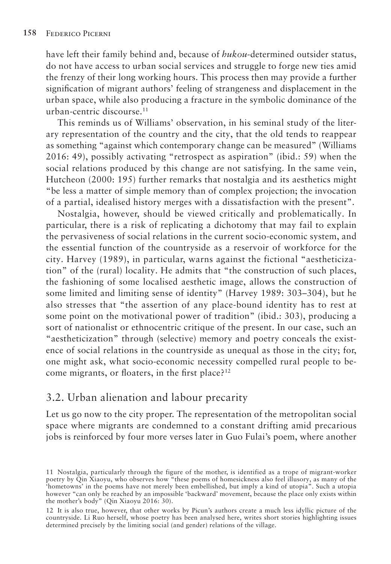have left their family behind and, because of *hukou*-determined outsider status, do not have access to urban social services and struggle to forge new ties amid the frenzy of their long working hours. This process then may provide a further signification of migrant authors' feeling of strangeness and displacement in the urban space, while also producing a fracture in the symbolic dominance of the urban-centric discourse.<sup>11</sup>

This reminds us of Williams' observation, in his seminal study of the literary representation of the country and the city, that the old tends to reappear as something "against which contemporary change can be measured" (Williams 2016: 49), possibly activating "retrospect as aspiration" (ibid.: 59) when the social relations produced by this change are not satisfying. In the same vein, Hutcheon (2000: 195) further remarks that nostalgia and its aesthetics might "be less a matter of simple memory than of complex projection; the invocation of a partial, idealised history merges with a dissatisfaction with the present".

Nostalgia, however, should be viewed critically and problematically. In particular, there is a risk of replicating a dichotomy that may fail to explain the pervasiveness of social relations in the current socio-economic system, and the essential function of the countryside as a reservoir of workforce for the city. Harvey (1989), in particular, warns against the fictional "aestheticization" of the (rural) locality. He admits that "the construction of such places, the fashioning of some localised aesthetic image, allows the construction of some limited and limiting sense of identity" (Harvey 1989: 303–304), but he also stresses that "the assertion of any place-bound identity has to rest at some point on the motivational power of tradition" (ibid.: 303), producing a sort of nationalist or ethnocentric critique of the present. In our case, such an "aestheticization" through (selective) memory and poetry conceals the existence of social relations in the countryside as unequal as those in the city; for, one might ask, what socio-economic necessity compelled rural people to become migrants, or floaters, in the first place?<sup>12</sup>

## 3.2. Urban alienation and labour precarity

Let us go now to the city proper. The representation of the metropolitan social space where migrants are condemned to a constant drifting amid precarious jobs is reinforced by four more verses later in Guo Fulai's poem, where another

<sup>11</sup> Nostalgia, particularly through the figure of the mother, is identified as a trope of migrant-worker poetry by Qin Xiaoyu, who observes how "these poems of homesickness also feel illusory, as many of the 'hometowns' in the poems have not merely been embellished, but imply a kind of utopia". Such a utopia however "can only be reached by an impossible 'backward' movement, because the place only exists within the mother's body" (Qin Xiaoyu 2016: 30).

<sup>12</sup> It is also true, however, that other works by Picun's authors create a much less idyllic picture of the countryside. Li Ruo herself, whose poetry has been analysed here, writes short stories highlighting issues determined precisely by the limiting social (and gender) relations of the village.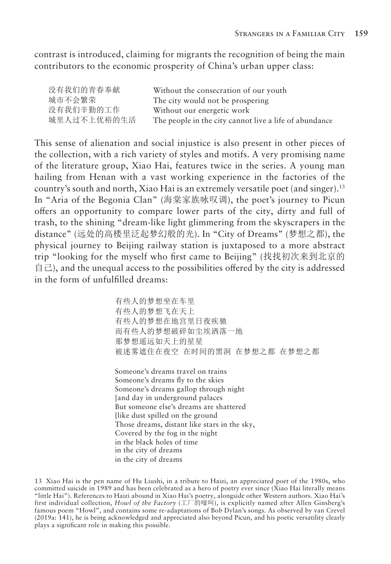contrast is introduced, claiming for migrants the recognition of being the main contributors to the economic prosperity of China's urban upper class:

| 没有我们的青春奉献   | Without the consecration of our youth                  |
|-------------|--------------------------------------------------------|
| 城市不会繁荣      | The city would not be prospering                       |
| 没有我们辛勤的工作   | Without our energetic work                             |
| 城里人过不上优裕的生活 | The people in the city cannot live a life of abundance |

This sense of alienation and social injustice is also present in other pieces of the collection, with a rich variety of styles and motifs. A very promising name of the literature group, Xiao Hai, features twice in the series. A young man hailing from Henan with a vast working experience in the factories of the country's south and north, Xiao Hai is an extremely versatile poet (and singer).13 In "Aria of the Begonia Clan" (海棠家族咏叹调), the poet's journey to Picun offers an opportunity to compare lower parts of the city, dirty and full of trash, to the shining "dream-like light glimmering from the skyscrapers in the distance" (远处的高楼里泛起梦幻般的光). In "City of Dreams" (梦想之都), the physical journey to Beijing railway station is juxtaposed to a more abstract trip "looking for the myself who first came to Beijing" (找找初次来到北京的  $\exists$ , and the unequal access to the possibilities offered by the city is addressed in the form of unfulfilled dreams:

> 有些人的梦想坐在车里 有些人的梦想飞在天上 有些人的梦想在地宫里日夜疾驰 而有些人的梦想破碎如尘埃洒落一地 那梦想遥远如天上的星星 被迷雾遮住在夜空 在时间的黑洞 在梦想之都 在梦想之都

Someone's dreams travel on trains Someone's dreams fly to the skies Someone's dreams gallop through night [and day in underground palaces But someone else's dreams are shattered [like dust spilled on the ground Those dreams, distant like stars in the sky, Covered by the fog in the night in the black holes of time in the city of dreams in the city of dreams

<sup>13</sup> Xiao Hai is the pen name of Hu Liushi, in a tribute to Haizi, an appreciated poet of the 1980s, who committed suicide in 1989 and has been celebrated as a hero of poetry ever since (Xiao Hai literally means "little Hai"). References to Haizi abound in Xiao Hai's poetry, alongside other Western authors. Xiao Hai's first individual collection, *Howl of the Factory* (工厂的嚎叫), is explicitly named after Allen Ginsberg's famous poem "Howl", and contains some re-adaptations of Bob Dylan's songs. As observed by van Crevel (2019a: 141), he is being acknowledged and appreciated also beyond Picun, and his poetic versatility clearly plays a significant role in making this possible.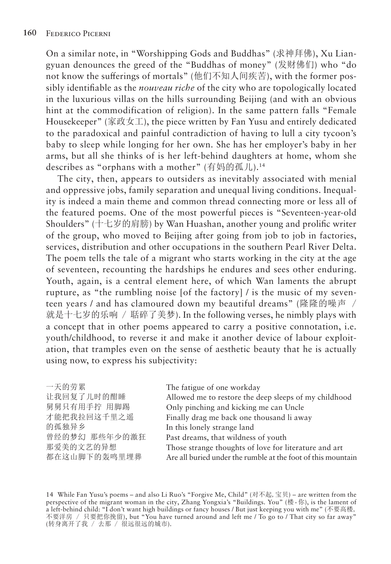On a similar note, in "Worshipping Gods and Buddhas" (求神拜佛), Xu Liangyuan denounces the greed of the "Buddhas of money" (发财佛们) who "do not know the sufferings of mortals" (他们不知人间疾苦), with the former possibly identifiable as the *nouveau riche* of the city who are topologically located in the luxurious villas on the hills surrounding Beijing (and with an obvious hint at the commodification of religion). In the same pattern falls "Female Housekeeper" (家政女工), the piece written by Fan Yusu and entirely dedicated to the paradoxical and painful contradiction of having to lull a city tycoon's baby to sleep while longing for her own. She has her employer's baby in her arms, but all she thinks of is her left-behind daughters at home, whom she describes as "orphans with a mother" (有妈的孤儿).<sup>14</sup>

The city, then, appears to outsiders as inevitably associated with menial and oppressive jobs, family separation and unequal living conditions. Inequality is indeed a main theme and common thread connecting more or less all of the featured poems. One of the most powerful pieces is "Seventeen-year-old Shoulders" (十七岁的肩膀) by Wan Huashan, another young and prolific writer of the group, who moved to Beijing after going from job to job in factories, services, distribution and other occupations in the southern Pearl River Delta. The poem tells the tale of a migrant who starts working in the city at the age of seventeen, recounting the hardships he endures and sees other enduring. Youth, again, is a central element here, of which Wan laments the abrupt rupture, as "the rumbling noise [of the factory] / is the music of my seventeen years / and has clamoured down my beautiful dreams" (隆隆的噪声 / 就是十七岁的乐响 / 聒碎了美梦). In the following verses, he nimbly plays with a concept that in other poems appeared to carry a positive connotation, i.e. youth/childhood, to reverse it and make it another device of labour exploitation, that tramples even on the sense of aesthetic beauty that he is actually using now, to express his subjectivity:

| The fatigue of one workday                                   |
|--------------------------------------------------------------|
| Allowed me to restore the deep sleeps of my childhood        |
| Only pinching and kicking me can Uncle                       |
| Finally drag me back one thousand li away                    |
| In this lonely strange land                                  |
| Past dreams, that wildness of youth                          |
| Those strange thoughts of love for literature and art        |
| Are all buried under the rumble at the foot of this mountain |
|                                                              |

14 While Fan Yusu's poems – and also Li Ruo's "Forgive Me, Child" (对不起,宝贝) – are written from the perspective of the migrant woman in the city, Zhang Yongxia's "Buildings. You" (楼·你), is the lament of a left-behind child: "I don't want high buildings or fancy houses / But just keeping you with me" (不要高楼, 不要洋房 / 只要把你挽留), but "You have turned around and left me / To go to / That city so far away" (转身离开了我 / 去那 / 很远很远的城市).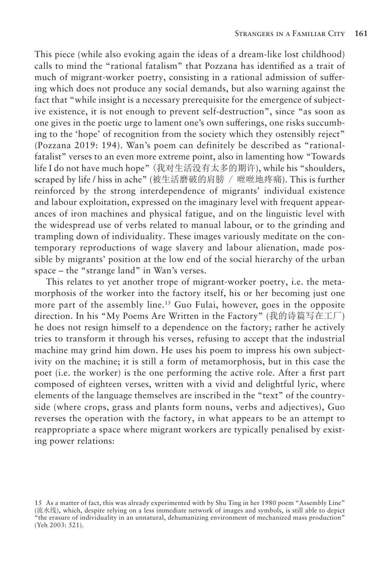This piece (while also evoking again the ideas of a dream-like lost childhood) calls to mind the "rational fatalism" that Pozzana has identified as a trait of much of migrant-worker poetry, consisting in a rational admission of suffering which does not produce any social demands, but also warning against the fact that "while insight is a necessary prerequisite for the emergence of subjective existence, it is not enough to prevent self-destruction", since "as soon as one gives in the poetic urge to lament one's own sufferings, one risks succumbing to the 'hope' of recognition from the society which they ostensibly reject" (Pozzana 2019: 194). Wan's poem can definitely be described as "rationalfatalist" verses to an even more extreme point, also in lamenting how "Towards life I do not have much hope" (我对生活没有太多的期许), while his "shoulders, scraped by life / hiss in ache" (被生活磨破的肩膀 / 咝咝地疼痛). This is further reinforced by the strong interdependence of migrants' individual existence and labour exploitation, expressed on the imaginary level with frequent appearances of iron machines and physical fatigue, and on the linguistic level with the widespread use of verbs related to manual labour, or to the grinding and trampling down of individuality. These images variously meditate on the contemporary reproductions of wage slavery and labour alienation, made possible by migrants' position at the low end of the social hierarchy of the urban space – the "strange land" in Wan's verses.

This relates to yet another trope of migrant-worker poetry, i.e. the metamorphosis of the worker into the factory itself, his or her becoming just one more part of the assembly line.<sup>15</sup> Guo Fulai, however, goes in the opposite direction. In his "My Poems Are Written in the Factory" (我的诗篇写在工厂) he does not resign himself to a dependence on the factory; rather he actively tries to transform it through his verses, refusing to accept that the industrial machine may grind him down. He uses his poem to impress his own subjectivity on the machine; it is still a form of metamorphosis, but in this case the poet (i.e. the worker) is the one performing the active role. After a first part composed of eighteen verses, written with a vivid and delightful lyric, where elements of the language themselves are inscribed in the "text" of the countryside (where crops, grass and plants form nouns, verbs and adjectives), Guo reverses the operation with the factory, in what appears to be an attempt to reappropriate a space where migrant workers are typically penalised by existing power relations:

<sup>15</sup> As a matter of fact, this was already experimented with by Shu Ting in her 1980 poem "Assembly Line" (流水线), which, despite relying on a less immediate network of images and symbols, is still able to depict "the erasure of individuality in an unnatural, dehumanizing environment of mechanized mass production" (Yeh 2003: 521).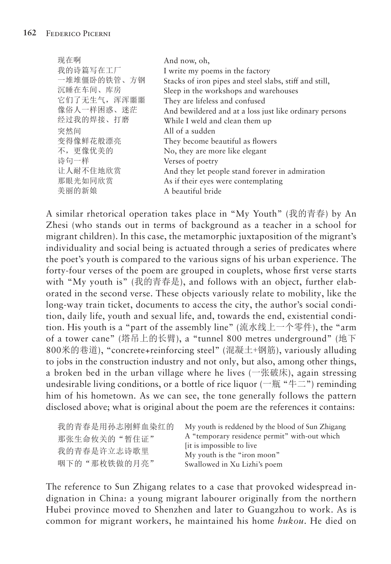| 现在啊          | And now, oh,                                            |
|--------------|---------------------------------------------------------|
| 我的诗篇写在工厂     | I write my poems in the factory                         |
| 一堆堆僵卧的铁管、方钢  | Stacks of iron pipes and steel slabs, stiff and still,  |
| 沉睡在车间、库房     | Sleep in the workshops and warehouses                   |
| 它们了无生气, 浑浑噩噩 | They are lifeless and confused                          |
| 像俗人一样困惑、迷茫   | And bewildered and at a loss just like ordinary persons |
| 经过我的焊接、打磨    | While I weld and clean them up                          |
| 突然间          | All of a sudden                                         |
| 变得像鲜花般漂亮     | They become beautiful as flowers                        |
| 不,更像优美的      | No, they are more like elegant                          |
| 诗句一样         | Verses of poetry                                        |
| 让人耐不住地欣赏     | And they let people stand forever in admiration         |
| 那眼光如同欣赏      | As if their eyes were contemplating                     |
| 美丽的新娘        | A beautiful bride                                       |
|              |                                                         |

A similar rhetorical operation takes place in "My Youth" (我的青春) by An Zhesi (who stands out in terms of background as a teacher in a school for migrant children). In this case, the metamorphic juxtaposition of the migrant's individuality and social being is actuated through a series of predicates where the poet's youth is compared to the various signs of his urban experience. The forty-four verses of the poem are grouped in couplets, whose first verse starts with "My youth is" (我的青春是), and follows with an object, further elaborated in the second verse. These objects variously relate to mobility, like the long-way train ticket, documents to access the city, the author's social condition, daily life, youth and sexual life, and, towards the end, existential condition. His youth is a "part of the assembly line" (流水线上一个零件), the "arm of a tower cane" (塔吊上的长臂), a "tunnel 800 metres underground" (地下 800米的巷道), "concrete+reinforcing steel" (混凝土+钢筋), variously alluding to jobs in the construction industry and not only, but also, among other things, a broken bed in the urban village where he lives (一张破床), again stressing undesirable living conditions, or a bottle of rice liquor ( $-\frac{m}{m}$  " $\pm\frac{m}{m}$ ) reminding him of his hometown. As we can see, the tone generally follows the pattern disclosed above; what is original about the poem are the references it contains:

| 我的青春是用孙志刚鲜血染红的 | My youth is reddened by the blood of Sun Zhigang          |
|----------------|-----------------------------------------------------------|
| 那张生命攸关的"暂住证"   | A "temporary residence permit" with-out which             |
| 我的青春是许立志诗歌里    | [it is impossible to live]<br>My youth is the "iron moon" |
| 咽下的"那枚铁做的月亮"   | Swallowed in Xu Lizhi's poem                              |

The reference to Sun Zhigang relates to a case that provoked widespread indignation in China: a young migrant labourer originally from the northern Hubei province moved to Shenzhen and later to Guangzhou to work. As is common for migrant workers, he maintained his home *hukou*. He died on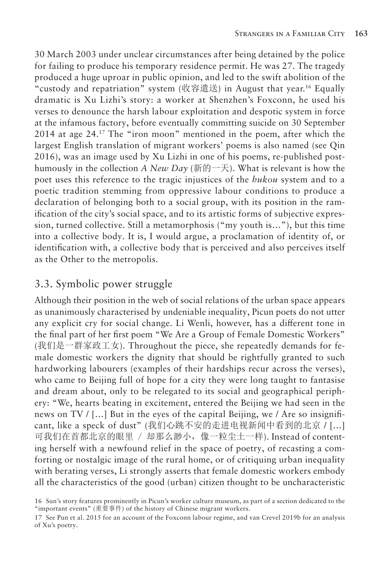30 March 2003 under unclear circumstances after being detained by the police for failing to produce his temporary residence permit. He was 27. The tragedy produced a huge uproar in public opinion, and led to the swift abolition of the "custody and repatriation" system (收容遣送) in August that year.16 Equally dramatic is Xu Lizhi's story: a worker at Shenzhen's Foxconn, he used his verses to denounce the harsh labour exploitation and despotic system in force at the infamous factory, before eventually committing suicide on 30 September 2014 at age 24.17 The "iron moon" mentioned in the poem, after which the largest English translation of migrant workers' poems is also named (see Qin 2016), was an image used by Xu Lizhi in one of his poems, re-published posthumously in the collection *A New Day* (新的一天). What is relevant is how the poet uses this reference to the tragic injustices of the *hukou* system and to a poetic tradition stemming from oppressive labour conditions to produce a declaration of belonging both to a social group, with its position in the ramification of the city's social space, and to its artistic forms of subjective expression, turned collective. Still a metamorphosis ("my youth is…"), but this time into a collective body. It is, I would argue, a proclamation of identity of, or identification with, a collective body that is perceived and also perceives itself as the Other to the metropolis.

#### 3.3. Symbolic power struggle

Although their position in the web of social relations of the urban space appears as unanimously characterised by undeniable inequality, Picun poets do not utter any explicit cry for social change. Li Wenli, however, has a different tone in the final part of her first poem "We Are a Group of Female Domestic Workers" (我们是一群家政工女). Throughout the piece, she repeatedly demands for female domestic workers the dignity that should be rightfully granted to such hardworking labourers (examples of their hardships recur across the verses), who came to Beijing full of hope for a city they were long taught to fantasise and dream about, only to be relegated to its social and geographical periphery: "We, hearts beating in excitement, entered the Beijing we had seen in the news on TV / […] But in the eyes of the capital Beijing, we / Are so insignificant, like a speck of dust" (我们心跳不安的走进电视新闻中看到的北京 / […] 可我们在首都北京的眼里 / 却那么渺小,像一粒尘土一样). Instead of contenting herself with a newfound relief in the space of poetry, of recasting a comforting or nostalgic image of the rural home, or of critiquing urban inequality with berating verses, Li strongly asserts that female domestic workers embody all the characteristics of the good (urban) citizen thought to be uncharacteristic

<sup>16</sup> Sun's story features prominently in Picun's worker culture museum, as part of a section dedicated to the "important events" (重要事件) of the history of Chinese migrant workers.

<sup>17</sup> See Pun et al. 2015 for an account of the Foxconn labour regime, and van Crevel 2019b for an analysis of Xu's poetry.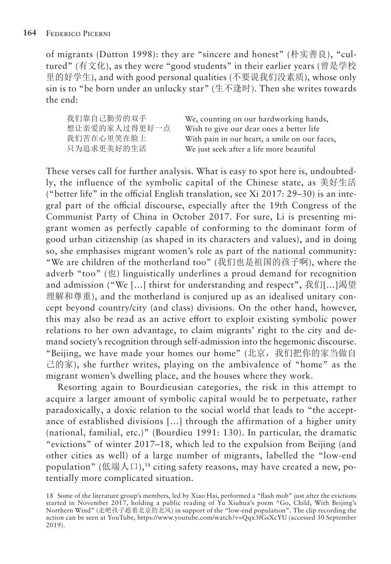of migrants (Dutton 1998): they are "sincere and honest" (朴实善良), "cultured" (有文化), as they were "good students" in their earlier years (曾是学校 里的好学生), and with good personal qualities (不要说我们没素质), whose only sin is to "be born under an unlucky star" (生不逢时). Then she writes towards the end:

我们靠自己勤劳的双手 想让亲爱的家人过得更好一点 我们苦在心里笑在脸上 只为追求更美好的生活

We, counting on our hardworking hands, Wish to give our dear ones a better life With pain in our heart, a smile on our faces, We just seek after a life more beautiful

These verses call for further analysis. What is easy to spot here is, undoubtedly, the influence of the symbolic capital of the Chinese state, as 美好生活 ("better life" in the official English translation, see Xi 2017: 29–30) is an integral part of the official discourse, especially after the 19th Congress of the Communist Party of China in October 2017. For sure, Li is presenting migrant women as perfectly capable of conforming to the dominant form of good urban citizenship (as shaped in its characters and values), and in doing so, she emphasises migrant women's role as part of the national community: "We are children of the motherland too" (我们也是祖国的孩子啊), where the adverb "too" (也) linguistically underlines a proud demand for recognition and admission ("We [...] thirst for understanding and respect", 我们[...]渴望 理解和尊重), and the motherland is conjured up as an idealised unitary concept beyond country/city (and class) divisions. On the other hand, however, this may also be read as an active effort to exploit existing symbolic power relations to her own advantage, to claim migrants' right to the city and demand society's recognition through self-admission into the hegemonic discourse. "Beijing, we have made your homes our home" (北京,我们把你的家当做自 己的家), she further writes, playing on the ambivalence of "home" as the migrant women's dwelling place, and the houses where they work.

Resorting again to Bourdieusian categories, the risk in this attempt to acquire a larger amount of symbolic capital would be to perpetuate, rather paradoxically, a doxic relation to the social world that leads to "the acceptance of established divisions […] through the affirmation of a higher unity (national, familial, etc.)" (Bourdieu 1991: 130). In particular, the dramatic "evictions" of winter 2017–18, which led to the expulsion from Beijing (and other cities as well) of a large number of migrants, labelled the "low-end population" (低端人口),<sup>18</sup> citing safety reasons, may have created a new, potentially more complicated situation.

<sup>18</sup> Some of the literature group's members, led by Xiao Hai, performed a "flash mob" just after the evictions started in November 2017, holding a public reading of Yu Xiuhua's poem "Go, Child, With Beijing's Northern Wind" (走吧孩子趁着北京的北风) in support of the "low-end population". The clip recording the action can be seen at YouTube, https://www.youtube.com/watch?v=Qqx3fGsXcYU (accessed 30 September 2019).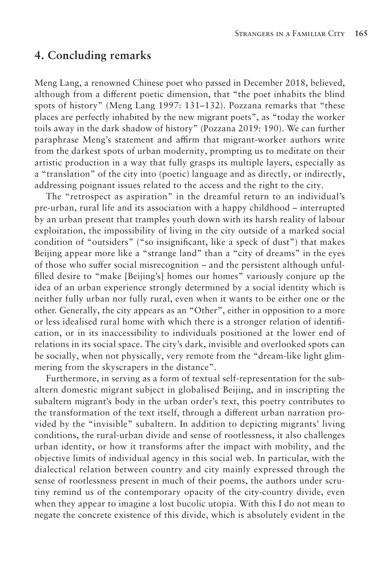#### **4. Concluding remarks**

Meng Lang, a renowned Chinese poet who passed in December 2018, believed, although from a different poetic dimension, that "the poet inhabits the blind spots of history" (Meng Lang 1997: 131–132). Pozzana remarks that "these places are perfectly inhabited by the new migrant poets", as "today the worker toils away in the dark shadow of history" (Pozzana 2019: 190). We can further paraphrase Meng's statement and affirm that migrant-worker authors write from the darkest spots of urban modernity, prompting us to meditate on their artistic production in a way that fully grasps its multiple layers, especially as a "translation" of the city into (poetic) language and as directly, or indirectly, addressing poignant issues related to the access and the right to the city.

The "retrospect as aspiration" in the dreamful return to an individual's pre-urban, rural life and its association with a happy childhood – interrupted by an urban present that tramples youth down with its harsh reality of labour exploitation, the impossibility of living in the city outside of a marked social condition of "outsiders" ("so insignificant, like a speck of dust") that makes Beijing appear more like a "strange land" than a "city of dreams" in the eyes of those who suffer social misrecognition – and the persistent although unfulfilled desire to "make [Beijing's] homes our homes" variously conjure up the idea of an urban experience strongly determined by a social identity which is neither fully urban nor fully rural, even when it wants to be either one or the other. Generally, the city appears as an "Other", either in opposition to a more or less idealised rural home with which there is a stronger relation of identification, or in its inaccessibility to individuals positioned at the lower end of relations in its social space. The city's dark, invisible and overlooked spots can be socially, when not physically, very remote from the "dream-like light glimmering from the skyscrapers in the distance".

Furthermore, in serving as a form of textual self-representation for the subaltern domestic migrant subject in globalised Beijing, and in inscripting the subaltern migrant's body in the urban order's text, this poetry contributes to the transformation of the text itself, through a different urban narration provided by the "invisible" subaltern. In addition to depicting migrants' living conditions, the rural-urban divide and sense of rootlessness, it also challenges urban identity, or how it transforms after the impact with mobility, and the objective limits of individual agency in this social web. In particular, with the dialectical relation between country and city mainly expressed through the sense of rootlessness present in much of their poems, the authors under scrutiny remind us of the contemporary opacity of the city-country divide, even when they appear to imagine a lost bucolic utopia. With this I do not mean to negate the concrete existence of this divide, which is absolutely evident in the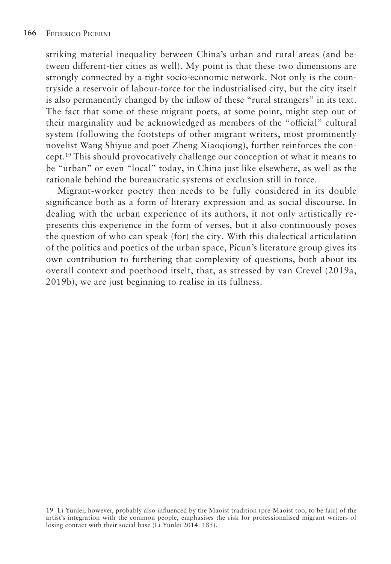striking material inequality between China's urban and rural areas (and between different-tier cities as well). My point is that these two dimensions are strongly connected by a tight socio-economic network. Not only is the countryside a reservoir of labour-force for the industrialised city, but the city itself is also permanently changed by the inflow of these "rural strangers" in its text. The fact that some of these migrant poets, at some point, might step out of their marginality and be acknowledged as members of the "official" cultural system (following the footsteps of other migrant writers, most prominently novelist Wang Shiyue and poet Zheng Xiaoqiong), further reinforces the concept.19 This should provocatively challenge our conception of what it means to be "urban" or even "local" today, in China just like elsewhere, as well as the rationale behind the bureaucratic systems of exclusion still in force.

Migrant-worker poetry then needs to be fully considered in its double significance both as a form of literary expression and as social discourse. In dealing with the urban experience of its authors, it not only artistically represents this experience in the form of verses, but it also continuously poses the question of who can speak (for) the city. With this dialectical articulation of the politics and poetics of the urban space, Picun's literature group gives its own contribution to furthering that complexity of questions, both about its overall context and poethood itself, that, as stressed by van Crevel (2019a, 2019b), we are just beginning to realise in its fullness.

19 Li Yunlei, however, probably also influenced by the Maoist tradition (pre-Maoist too, to be fair) of the artist's integration with the common people, emphasises the risk for professionalised migrant writers of losing contact with their social base (Li Yunlei 2014: 185).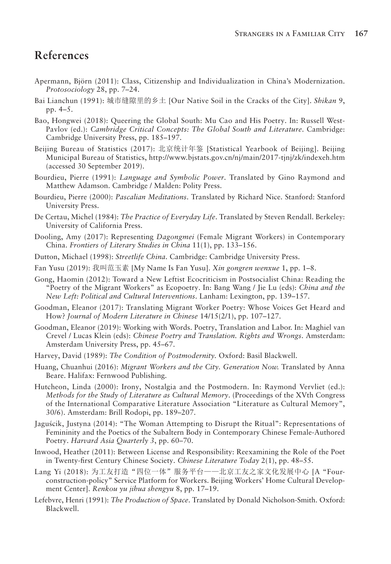# **References**

- Apermann, Björn (2011): Class, Citizenship and Individualization in China's Modernization. *Protosociology* 28, pp. 7–24.
- Bai Lianchun (1991): 城市缝隙里的乡土 [Our Native Soil in the Cracks of the City]. *Shikan* 9, pp. 4–5.
- Bao, Hongwei (2018): Queering the Global South: Mu Cao and His Poetry. In: Russell West-Pavlov (ed.): *Cambridge Critical Concepts: The Global South and Literature*. Cambridge: Cambridge University Press, pp. 185–197.
- Beijing Bureau of Statistics (2017): 北京统计年鉴 [Statistical Yearbook of Beijing]. Beijing Municipal Bureau of Statistics, http://www.bjstats.gov.cn/nj/main/2017-tjnj/zk/indexeh.htm (accessed 30 September 2019).
- Bourdieu, Pierre (1991): *Language and Symbolic Power*. Translated by Gino Raymond and Matthew Adamson. Cambridge / Malden: Polity Press.
- Bourdieu, Pierre (2000): *Pascalian Meditations*. Translated by Richard Nice. Stanford: Stanford University Press.
- De Certau, Michel (1984): *The Practice of Everyday Life*. Translated by Steven Rendall. Berkeley: University of California Press.
- Dooling, Amy (2017): Representing *Dagongmei* (Female Migrant Workers) in Contemporary China. *Frontiers of Literary Studies in China* 11(1), pp. 133–156.
- Dutton, Michael (1998): *Streetlife China*. Cambridge: Cambridge University Press.
- Fan Yusu (2019): 我叫范玉素 [My Name Is Fan Yusu]. *Xin gongren wenxue* 1, pp. 1–8.
- Gong, Haomin (2012): Toward a New Leftist Ecocriticism in Postsocialist China: Reading the "Poetry of the Migrant Workers" as Ecopoetry. In: Bang Wang / Jie Lu (eds): *China and the New Left: Political and Cultural Interventions*. Lanham: Lexington, pp. 139–157.
- Goodman, Eleanor (2017): Translating Migrant Worker Poetry: Whose Voices Get Heard and How? *Journal of Modern Literature in Chinese* 14/15(2/1), pp. 107–127.
- Goodman, Eleanor (2019): Working with Words. Poetry, Translation and Labor. In: Maghiel van Crevel / Lucas Klein (eds): *Chinese Poetry and Translation. Rights and Wrongs*. Amsterdam: Amsterdam University Press, pp. 45–67.
- Harvey, David (1989): *The Condition of Postmodernity.* Oxford: Basil Blackwell.
- Huang, Chuanhui (2016): *Migrant Workers and the City. Generation Now.* Translated by Anna Beare. Halifax: Fernwood Publishing.
- Hutcheon, Linda (2000): Irony, Nostalgia and the Postmodern. In: Raymond Vervliet (ed.): *Methods for the Study of Literature as Cultural Memory*. (Proceedings of the XVth Congress of the International Comparative Literature Association "Literature as Cultural Memory", 30/6). Amsterdam: Brill Rodopi, pp. 189–207.
- Jaguścik, Justyna (2014): "The Woman Attempting to Disrupt the Ritual": Representations of Femininity and the Poetics of the Subaltern Body in Contemporary Chinese Female-Authored Poetry. *Harvard Asia Quarterly 3*, pp. 60–70.
- Inwood, Heather (2011): Between License and Responsibility: Reexamining the Role of the Poet in Twenty-first Century Chinese Society. *Chinese Literature Today* 2(1), pp. 48–55.
- Lang Yi (2018): 为工友打造"四位一体"服务平台——北京工友之家文化发展中心 [A "Fourconstruction-policy" Service Platform for Workers. Beijing Workers' Home Cultural Development Center]. *Renkou yu jihua shengyu* 8, pp. 17–19.
- Lefebvre, Henri (1991): *The Production of Space*. Translated by Donald Nicholson-Smith. Oxford: Blackwell.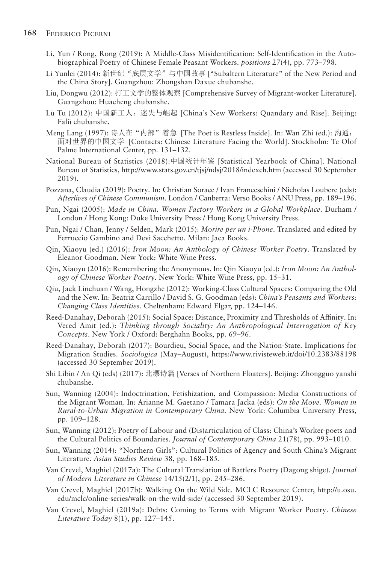- Li, Yun / Rong, Rong (2019): A Middle-Class Misidentification: Self-Identification in the Autobiographical Poetry of Chinese Female Peasant Workers. *positions* 27(4), pp. 773–798.
- Li Yunlei (2014): 新世纪"底层文学"与中国故事 ["Subaltern Literature" of the New Period and the China Story]. Guangzhou: Zhongshan Daxue chubanshe.
- Liu, Dongwu (2012): 打工文学的整体观察 [Comprehensive Survey of Migrant-worker Literature]. Guangzhou: Huacheng chubanshe.
- Lü Tu (2012): 中国新工人:迷失与崛起 [China's New Workers: Quandary and Rise]. Beijing: Falü chubanshe.
- Meng Lang (1997): 诗人在"内部"着急 [The Poet is Restless Inside]. In: Wan Zhi (ed.): 沟通: 面对世界的中国文学 [Contacts: Chinese Literature Facing the World]. Stockholm: Te Olof Palme International Center, pp. 131–132.
- National Bureau of Statistics (2018):中国统计年鉴 [Statistical Yearbook of China]. National Bureau of Statistics, http://www.stats.gov.cn/tjsj/ndsj/2018/indexch.htm (accessed 30 September 2019).
- Pozzana, Claudia (2019): Poetry. In: Christian Sorace / Ivan Franceschini / Nicholas Loubere (eds): *Afterlives of Chinese Communism*. London / Canberra: Verso Books / ANU Press, pp. 189–196.
- Pun, Ngai (2005): *Made in China. Women Factory Workers in a Global Workplace*. Durham / London / Hong Kong: Duke University Press / Hong Kong University Press.
- Pun, Ngai / Chan, Jenny / Selden, Mark (2015): *Morire per un i-Phone*. Translated and edited by Ferruccio Gambino and Devi Sacchetto. Milan: Jaca Books.
- Qin, Xiaoyu (ed.) (2016): *Iron Moon: An Anthology of Chinese Worker Poetry*. Translated by Eleanor Goodman. New York: White Wine Press.
- Qin, Xiaoyu (2016): Remembering the Anonymous. In: Qin Xiaoyu (ed.): *Iron Moon: An Anthology of Chinese Worker Poetry*. New York: White Wine Press, pp. 15–31.
- Qiu, Jack Linchuan / Wang, Hongzhe (2012): Working-Class Cultural Spaces: Comparing the Old and the New. In: Beatriz Carrillo / David S. G. Goodman (eds): *China's Peasants and Workers: Changing Class Identities*. Cheltenham: Edward Elgar, pp. 124–146.
- Reed-Danahay, Deborah (2015): Social Space: Distance, Proximity and Thresholds of Affinity. In: Vered Amit (ed.): *Thinking through Sociality: An Anthropological Interrogation of Key Concepts*. New York / Oxford: Berghahn Books, pp. 69–96.
- Reed-Danahay, Deborah (2017): Bourdieu, Social Space, and the Nation-State. Implications for Migration Studies. *Sociologica* (May–August), https://www.rivisteweb.it/doi/10.2383/88198 (accessed 30 September 2019).
- Shi Libin / An Qi (eds) (2017): 北漂诗篇 [Verses of Northern Floaters]. Beijing: Zhongguo yanshi chubanshe.
- Sun, Wanning (2004): Indoctrination, Fetishization, and Compassion: Media Constructions of the Migrant Woman. In: Arianne M. Gaetano / Tamara Jacka (eds): *On the Move. Women in Rural-to-Urban Migration in Contemporary China*. New York: Columbia University Press, pp. 109–128.
- Sun, Wanning (2012): Poetry of Labour and (Dis)articulation of Class: China's Worker-poets and the Cultural Politics of Boundaries. *Journal of Contemporary China* 21(78), pp. 993–1010.
- Sun, Wanning (2014): "Northern Girls": Cultural Politics of Agency and South China's Migrant Literature. *Asian Studies Review* 38, pp. 168–185.
- Van Crevel, Maghiel (2017a): The Cultural Translation of Battlers Poetry (Dagong shige). *Journal of Modern Literature in Chinese* 14/15(2/1), pp. 245–286.
- Van Crevel, Maghiel (2017b): Walking On the Wild Side. MCLC Resource Center, http://u.osu. edu/mclc/online-series/walk-on-the-wild-side/ (accessed 30 September 2019).
- Van Crevel, Maghiel (2019a): Debts: Coming to Terms with Migrant Worker Poetry. *Chinese Literature Today* 8(1), pp. 127–145.